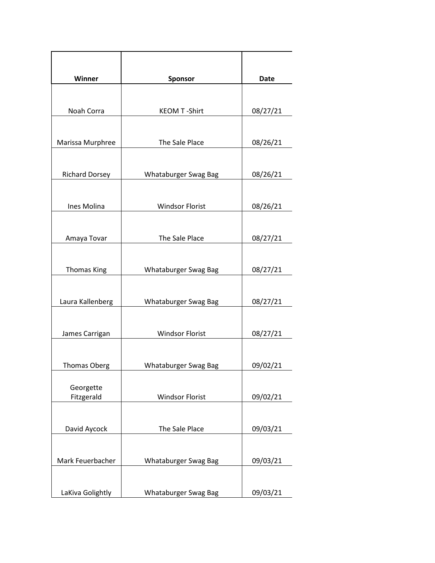| Winner                | <b>Sponsor</b>         | Date     |
|-----------------------|------------------------|----------|
|                       |                        |          |
|                       |                        |          |
| Noah Corra            | <b>KEOM T-Shirt</b>    | 08/27/21 |
|                       |                        |          |
| Marissa Murphree      | The Sale Place         | 08/26/21 |
|                       |                        |          |
|                       |                        |          |
| <b>Richard Dorsey</b> | Whataburger Swag Bag   | 08/26/21 |
|                       |                        |          |
| Ines Molina           | <b>Windsor Florist</b> | 08/26/21 |
|                       |                        |          |
|                       |                        |          |
| Amaya Tovar           | The Sale Place         | 08/27/21 |
|                       |                        |          |
| <b>Thomas King</b>    | Whataburger Swag Bag   | 08/27/21 |
|                       |                        |          |
|                       |                        |          |
| Laura Kallenberg      | Whataburger Swag Bag   | 08/27/21 |
|                       |                        |          |
| James Carrigan        | <b>Windsor Florist</b> | 08/27/21 |
|                       |                        |          |
|                       |                        |          |
| <b>Thomas Oberg</b>   | Whataburger Swag Bag   | 09/02/21 |
| Georgette             |                        |          |
| Fitzgerald            | <b>Windsor Florist</b> | 09/02/21 |
|                       |                        |          |
|                       |                        |          |
| David Aycock          | The Sale Place         | 09/03/21 |
|                       |                        |          |
| Mark Feuerbacher      | Whataburger Swag Bag   | 09/03/21 |
|                       |                        |          |
|                       |                        |          |
| LaKiva Golightly      | Whataburger Swag Bag   | 09/03/21 |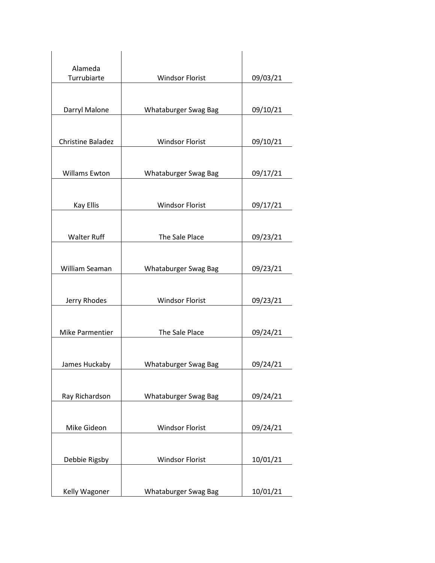| Alameda<br>Turrubiarte<br><b>Windsor Florist</b><br>09/03/21<br>Darryl Malone<br>Whataburger Swag Bag<br>09/10/21<br>Christine Baladez<br><b>Windsor Florist</b><br>09/10/21<br><b>Willams Ewton</b><br>Whataburger Swag Bag<br>09/17/21<br><b>Windsor Florist</b><br><b>Kay Ellis</b><br>09/17/21<br><b>Walter Ruff</b><br>The Sale Place<br>09/23/21 |
|--------------------------------------------------------------------------------------------------------------------------------------------------------------------------------------------------------------------------------------------------------------------------------------------------------------------------------------------------------|
|                                                                                                                                                                                                                                                                                                                                                        |
|                                                                                                                                                                                                                                                                                                                                                        |
|                                                                                                                                                                                                                                                                                                                                                        |
|                                                                                                                                                                                                                                                                                                                                                        |
|                                                                                                                                                                                                                                                                                                                                                        |
|                                                                                                                                                                                                                                                                                                                                                        |
|                                                                                                                                                                                                                                                                                                                                                        |
|                                                                                                                                                                                                                                                                                                                                                        |
|                                                                                                                                                                                                                                                                                                                                                        |
| William Seaman<br>Whataburger Swag Bag                                                                                                                                                                                                                                                                                                                 |
| 09/23/21                                                                                                                                                                                                                                                                                                                                               |
| <b>Windsor Florist</b><br>Jerry Rhodes<br>09/23/21                                                                                                                                                                                                                                                                                                     |
|                                                                                                                                                                                                                                                                                                                                                        |
| <b>Mike Parmentier</b><br>The Sale Place<br>09/24/21                                                                                                                                                                                                                                                                                                   |
| James Huckaby<br>Whataburger Swag Bag<br>09/24/21                                                                                                                                                                                                                                                                                                      |
|                                                                                                                                                                                                                                                                                                                                                        |
| Ray Richardson<br>Whataburger Swag Bag<br>09/24/21                                                                                                                                                                                                                                                                                                     |
| Mike Gideon<br><b>Windsor Florist</b><br>09/24/21                                                                                                                                                                                                                                                                                                      |
|                                                                                                                                                                                                                                                                                                                                                        |
| Debbie Rigsby<br><b>Windsor Florist</b><br>10/01/21                                                                                                                                                                                                                                                                                                    |
| Kelly Wagoner<br>Whataburger Swag Bag<br>10/01/21                                                                                                                                                                                                                                                                                                      |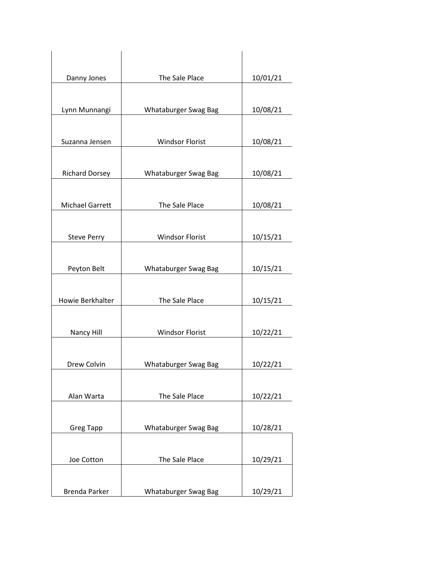| Danny Jones            | The Sale Place         | 10/01/21 |
|------------------------|------------------------|----------|
|                        |                        |          |
| Lynn Munnangi          | Whataburger Swag Bag   | 10/08/21 |
| Suzanna Jensen         | <b>Windsor Florist</b> | 10/08/21 |
| <b>Richard Dorsey</b>  | Whataburger Swag Bag   | 10/08/21 |
|                        |                        |          |
| <b>Michael Garrett</b> | The Sale Place         | 10/08/21 |
|                        |                        |          |
| <b>Steve Perry</b>     | <b>Windsor Florist</b> | 10/15/21 |
| Peyton Belt            | Whataburger Swag Bag   | 10/15/21 |
| Howie Berkhalter       | The Sale Place         | 10/15/21 |
|                        |                        |          |
| Nancy Hill             | <b>Windsor Florist</b> | 10/22/21 |
| Drew Colvin            | Whataburger Swag Bag   | 10/22/21 |
| Alan Warta             | The Sale Place         | 10/22/21 |
|                        |                        |          |
| <b>Greg Tapp</b>       | Whataburger Swag Bag   | 10/28/21 |
| Joe Cotton             | The Sale Place         | 10/29/21 |
| <b>Brenda Parker</b>   | Whataburger Swag Bag   | 10/29/21 |